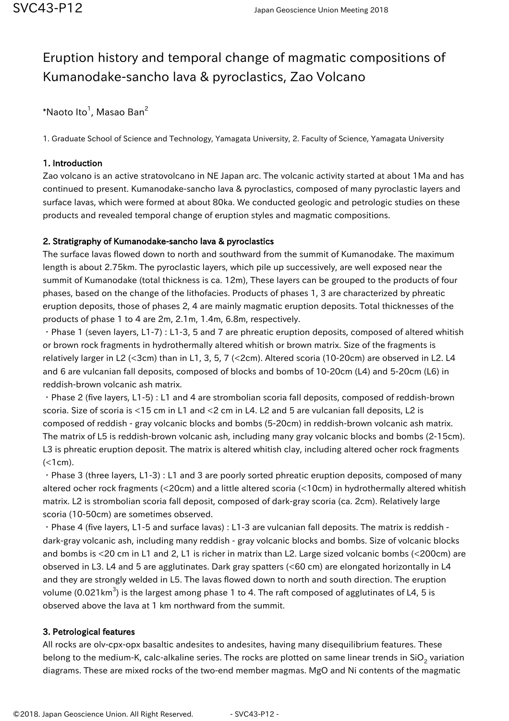# Eruption history and temporal change of magmatic compositions of Kumanodake-sancho lava & pyroclastics, Zao Volcano

 $^*$ Naoto Ito $^1$ , Masao Ban $^2$ 

1. Graduate School of Science and Technology, Yamagata University, 2. Faculty of Science, Yamagata University

### 1. Introduction

Zao volcano is an active stratovolcano in NE Japan arc. The volcanic activity started at about 1Ma and has continued to present. Kumanodake-sancho lava & pyroclastics, composed of many pyroclastic layers and surface lavas, which were formed at about 80ka. We conducted geologic and petrologic studies on these products and revealed temporal change of eruption styles and magmatic compositions.

#### 2. Stratigraphy of Kumanodake-sancho lava & pyroclastics

The surface lavas flowed down to north and southward from the summit of Kumanodake. The maximum length is about 2.75km. The pyroclastic layers, which pile up successively, are well exposed near the summit of Kumanodake (total thickness is ca. 12m), These layers can be grouped to the products of four phases, based on the change of the lithofacies. Products of phases 1, 3 are characterized by phreatic eruption deposits, those of phases 2, 4 are mainly magmatic eruption deposits. Total thicknesses of the products of phase 1 to 4 are 2m, 2.1m, 1.4m, 6.8m, respectively.

・Phase 1 (seven layers, L1-7) : L1-3, 5 and 7 are phreatic eruption deposits, composed of altered whitish or brown rock fragments in hydrothermally altered whitish or brown matrix. Size of the fragments is relatively larger in L2 (<3cm) than in L1, 3, 5, 7 (<2cm). Altered scoria (10-20cm) are observed in L2. L4 and 6 are vulcanian fall deposits, composed of blocks and bombs of 10-20cm (L4) and 5-20cm (L6) in reddish-brown volcanic ash matrix.

・Phase 2 (five layers, L1-5) : L1 and 4 are strombolian scoria fall deposits, composed of reddish-brown scoria. Size of scoria is <15 cm in L1 and <2 cm in L4. L2 and 5 are vulcanian fall deposits, L2 is composed of reddish - gray volcanic blocks and bombs (5-20cm) in reddish-brown volcanic ash matrix. The matrix of L5 is reddish-brown volcanic ash, including many gray volcanic blocks and bombs (2-15cm). L3 is phreatic eruption deposit. The matrix is altered whitish clay, including altered ocher rock fragments  $(<1cm)$ .

・Phase 3 (three layers, L1-3) : L1 and 3 are poorly sorted phreatic eruption deposits, composed of many altered ocher rock fragments (<20cm) and a little altered scoria (<10cm) in hydrothermally altered whitish matrix. L2 is strombolian scoria fall deposit, composed of dark-gray scoria (ca. 2cm). Relatively large scoria (10-50cm) are sometimes observed.

・Phase 4 (five layers, L1-5 and surface lavas) : L1-3 are vulcanian fall deposits. The matrix is reddish dark-gray volcanic ash, including many reddish - gray volcanic blocks and bombs. Size of volcanic blocks and bombs is <20 cm in L1 and 2, L1 is richer in matrix than L2. Large sized volcanic bombs (<200cm) are observed in L3. L4 and 5 are agglutinates. Dark gray spatters (<60 cm) are elongated horizontally in L4 and they are strongly welded in L5. The lavas flowed down to north and south direction. The eruption volume (0.021 $\rm km^3$ ) is the largest among phase 1 to 4. The raft composed of agglutinates of L4, 5 is observed above the lava at 1 km northward from the summit.

#### 3. Petrological features

All rocks are olv-cpx-opx basaltic andesites to andesites, having many disequilibrium features. These belong to the medium-K, calc-alkaline series. The rocks are plotted on same linear trends in SiO<sub>2</sub> variation diagrams. These are mixed rocks of the two-end member magmas. MgO and Ni contents of the magmatic